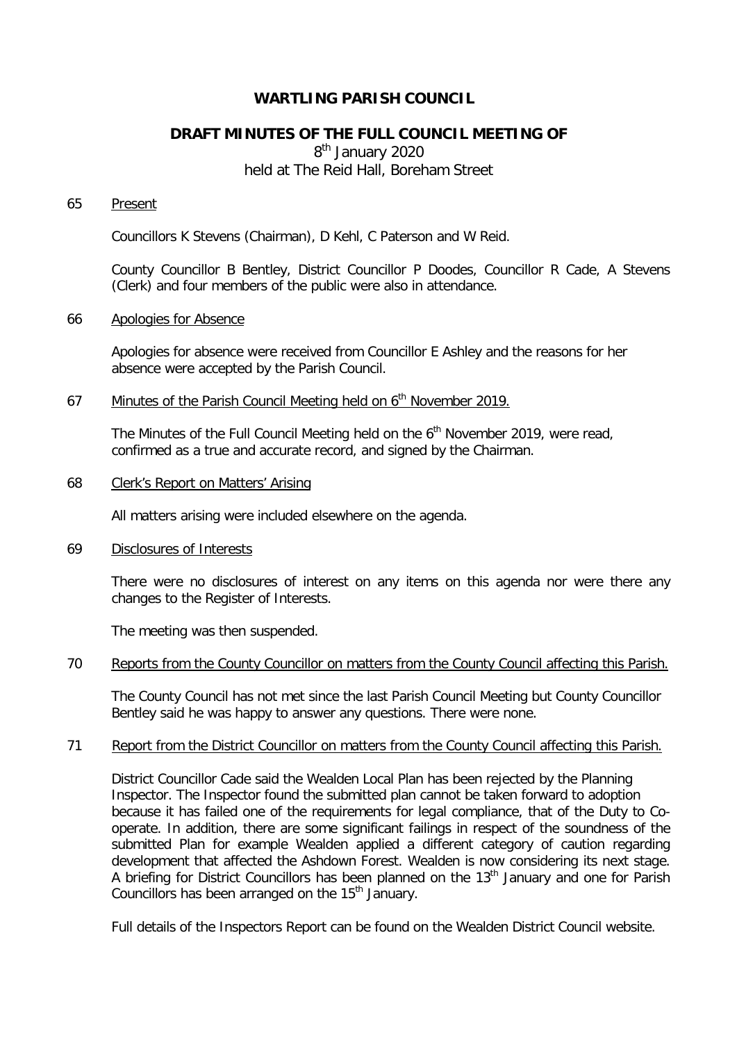# **WARTLING PARISH COUNCIL**

# **DRAFT MINUTES OF THE FULL COUNCIL MEETING OF**

8<sup>th</sup> January 2020 held at The Reid Hall, Boreham Street

## 65 Present

Councillors K Stevens (Chairman), D Kehl, C Paterson and W Reid.

County Councillor B Bentley, District Councillor P Doodes, Councillor R Cade, A Stevens (Clerk) and four members of the public were also in attendance.

## 66 Apologies for Absence

Apologies for absence were received from Councillor E Ashley and the reasons for her absence were accepted by the Parish Council.

# 67 Minutes of the Parish Council Meeting held on  $6<sup>th</sup>$  November 2019.

The Minutes of the Full Council Meeting held on the 6<sup>th</sup> November 2019, were read, confirmed as a true and accurate record, and signed by the Chairman.

# 68 Clerk's Report on Matters' Arising

All matters arising were included elsewhere on the agenda.

## 69 Disclosures of Interests

There were no disclosures of interest on any items on this agenda nor were there any changes to the Register of Interests.

The meeting was then suspended.

#### 70 Reports from the County Councillor on matters from the County Council affecting this Parish.

The County Council has not met since the last Parish Council Meeting but County Councillor Bentley said he was happy to answer any questions. There were none.

#### 71 Report from the District Councillor on matters from the County Council affecting this Parish.

District Councillor Cade said the Wealden Local Plan has been rejected by the Planning Inspector. The Inspector found the submitted plan cannot be taken forward to adoption because it has failed one of the requirements for legal compliance, that of the Duty to Cooperate. In addition, there are some significant failings in respect of the soundness of the submitted Plan for example Wealden applied a different category of caution regarding development that affected the Ashdown Forest. Wealden is now considering its next stage. A briefing for District Councillors has been planned on the 13<sup>th</sup> January and one for Parish Councillors has been arranged on the  $15<sup>th</sup>$  January.

Full details of the Inspectors Report can be found on the Wealden District Council website.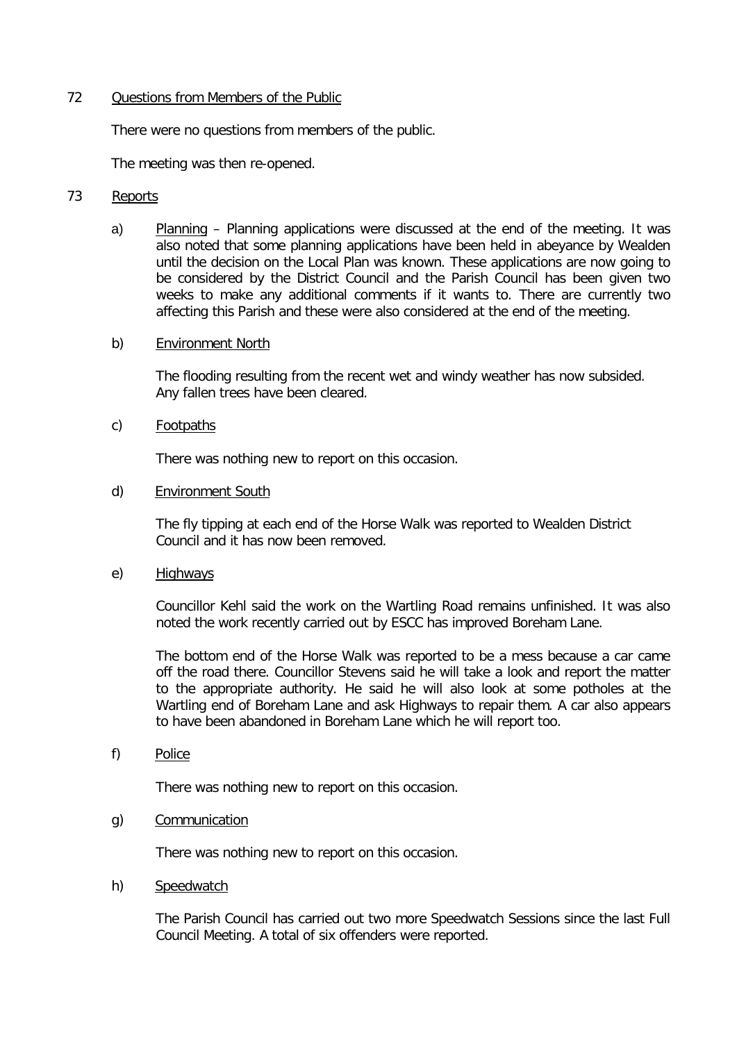## 72 Questions from Members of the Public

There were no questions from members of the public.

The meeting was then re-opened.

# 73 Reports

a) Planning – Planning applications were discussed at the end of the meeting. It was also noted that some planning applications have been held in abeyance by Wealden until the decision on the Local Plan was known. These applications are now going to be considered by the District Council and the Parish Council has been given two weeks to make any additional comments if it wants to. There are currently two affecting this Parish and these were also considered at the end of the meeting.

## b) Environment North

The flooding resulting from the recent wet and windy weather has now subsided. Any fallen trees have been cleared.

## c) Footpaths

There was nothing new to report on this occasion.

## d) Environment South

The fly tipping at each end of the Horse Walk was reported to Wealden District Council and it has now been removed.

e) Highways

Councillor Kehl said the work on the Wartling Road remains unfinished. It was also noted the work recently carried out by ESCC has improved Boreham Lane.

The bottom end of the Horse Walk was reported to be a mess because a car came off the road there. Councillor Stevens said he will take a look and report the matter to the appropriate authority. He said he will also look at some potholes at the Wartling end of Boreham Lane and ask Highways to repair them. A car also appears to have been abandoned in Boreham Lane which he will report too.

f) Police

There was nothing new to report on this occasion.

#### g) Communication

There was nothing new to report on this occasion.

#### h) Speedwatch

The Parish Council has carried out two more Speedwatch Sessions since the last Full Council Meeting. A total of six offenders were reported.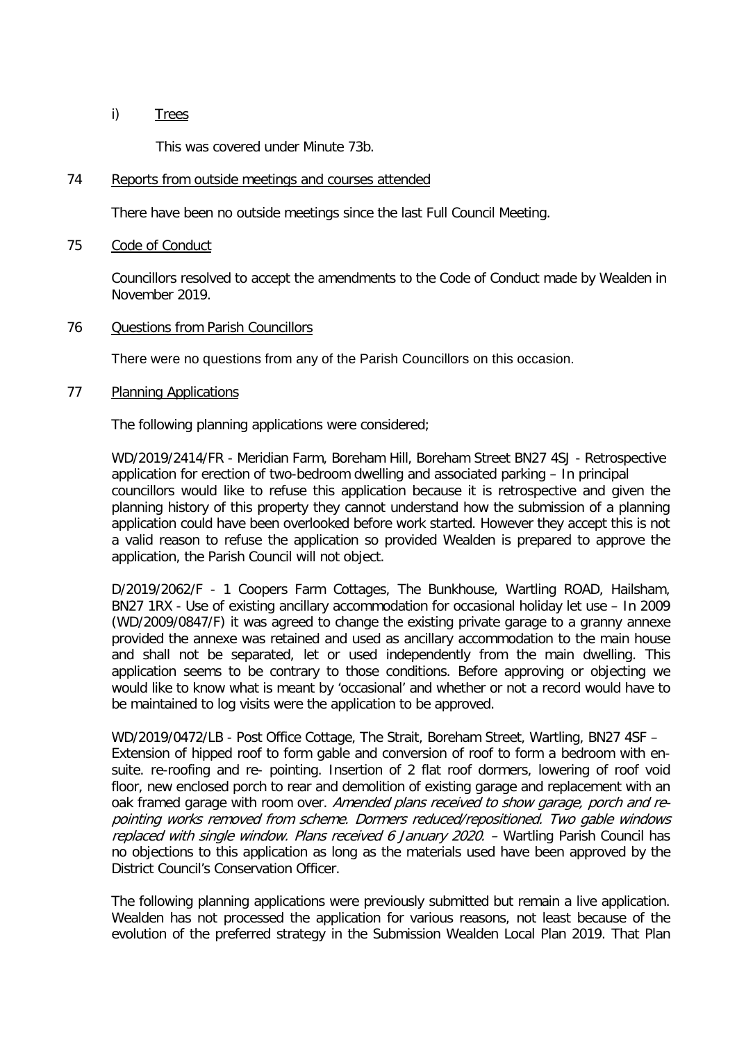## i) Trees

This was covered under Minute 73b.

#### 74 Reports from outside meetings and courses attended

There have been no outside meetings since the last Full Council Meeting.

#### 75 Code of Conduct

Councillors resolved to accept the amendments to the Code of Conduct made by Wealden in November 2019.

## 76 Questions from Parish Councillors

There were no questions from any of the Parish Councillors on this occasion.

## 77 Planning Applications

The following planning applications were considered;

WD/2019/2414/FR - Meridian Farm, Boreham Hill, Boreham Street BN27 4SJ - Retrospective application for erection of two-bedroom dwelling and associated parking – In principal councillors would like to refuse this application because it is retrospective and given the planning history of this property they cannot understand how the submission of a planning application could have been overlooked before work started. However they accept this is not a valid reason to refuse the application so provided Wealden is prepared to approve the application, the Parish Council will not object.

D/2019/2062/F - 1 Coopers Farm Cottages, The Bunkhouse, Wartling ROAD, Hailsham, BN27 1RX - Use of existing ancillary accommodation for occasional holiday let use – In 2009 (WD/2009/0847/F) it was agreed to change the existing private garage to a granny annexe provided the annexe was retained and used as ancillary accommodation to the main house and shall not be separated, let or used independently from the main dwelling. This application seems to be contrary to those conditions. Before approving or objecting we would like to know what is meant by 'occasional' and whether or not a record would have to be maintained to log visits were the application to be approved.

WD/2019/0472/LB - Post Office Cottage, The Strait, Boreham Street, Wartling, BN27 4SF – Extension of hipped roof to form gable and conversion of roof to form a bedroom with ensuite. re-roofing and re- pointing. Insertion of 2 flat roof dormers, lowering of roof void floor, new enclosed porch to rear and demolition of existing garage and replacement with an oak framed garage with room over. Amended plans received to show garage, porch and repointing works removed from scheme. Dormers reduced/repositioned. Two gable windows replaced with single window. Plans received 6 January 2020. – Wartling Parish Council has no objections to this application as long as the materials used have been approved by the District Council's Conservation Officer.

The following planning applications were previously submitted but remain a live application. Wealden has not processed the application for various reasons, not least because of the evolution of the preferred strategy in the Submission Wealden Local Plan 2019. That Plan